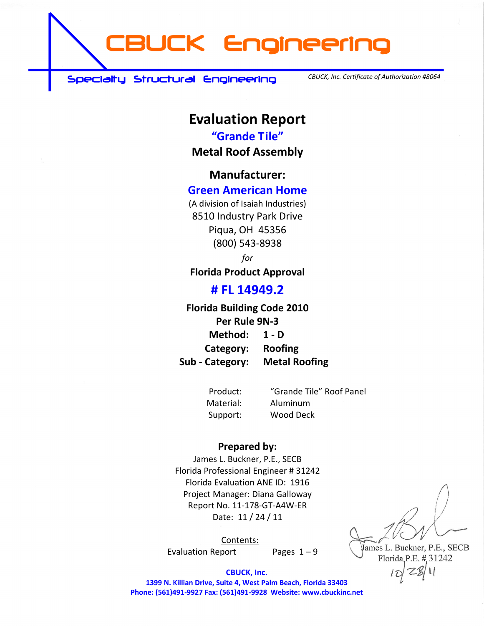**CBUCK Engineering** 

 **Specialty Structural Engineering** 

*CBUCK, Inc. Certificate of Authorization #8064*

# **Evaluation Report**

**"Grande Tile"**

**Metal Roof Assembly**

**Manufacturer:**

#### **Green American Home**

(A division of Isaiah Industries) 8510 Industry Park Drive Piqua, OH 45356 (800) 543‐8938

*for*

**Florida Product Approval**

#### **# FL 14949.2**

#### **Florida Building Code 2010 Per Rule 9N‐3 Method: 1 ‐ D**

**Category: Roofing Sub ‐ Category: Metal Roofing**

Product: "Grande Tile" Roof Panel Material: Aluminum Support: Wood Deck

#### **Prepared by:**

James L. Buckner, P.E., SECB Florida Professional Engineer # 31242 Florida Evaluation ANE ID: 1916 Project Manager: Diana Galloway Report No. 11‐178‐GT‐A4W‐ER Date: 11 / 24 / 11

Contents: Evaluation Report Pages  $1 - 9$ 

A  $\left\langle \right\rangle$  $\overline{2}$   $\overline{1}$  $=$   $205$  il ames L. Buckner, P.E., SECB Florida, P.E. # 31242

 $\log 22$ 

**CBUCK, Inc. 1399 N. Killian Drive, Suite 4, West Palm Beach, Florida 33403 Phone: (561)491‐9927 Fax: (561)491‐9928 Website: www.cbuckinc.net**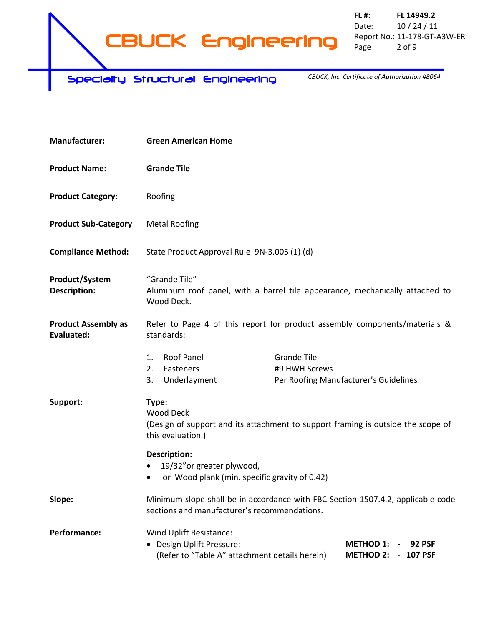**FL #: FL 14949.2** Date: 10 / 24 / 11 Report No.: 11‐178‐GT‐A3W‐ER Page 2 of 9

 **Specialty Structural Engineering** 

*CBUCK, Inc. Certificate of Authorization #8064*

| <b>Manufacturer:</b>                     | <b>Green American Home</b>                                                                                                                                                                                |  |  |
|------------------------------------------|-----------------------------------------------------------------------------------------------------------------------------------------------------------------------------------------------------------|--|--|
| <b>Product Name:</b>                     | <b>Grande Tile</b>                                                                                                                                                                                        |  |  |
| <b>Product Category:</b>                 | Roofing                                                                                                                                                                                                   |  |  |
| <b>Product Sub-Category</b>              | <b>Metal Roofing</b>                                                                                                                                                                                      |  |  |
| <b>Compliance Method:</b>                | State Product Approval Rule 9N-3.005 (1) (d)                                                                                                                                                              |  |  |
| Product/System<br><b>Description:</b>    | "Grande Tile"<br>Aluminum roof panel, with a barrel tile appearance, mechanically attached to<br>Wood Deck.                                                                                               |  |  |
| <b>Product Assembly as</b><br>Evaluated: | Refer to Page 4 of this report for product assembly components/materials &<br>standards:                                                                                                                  |  |  |
|                                          | <b>Roof Panel</b><br><b>Grande Tile</b><br>1.<br>#9 HWH Screws<br>2.<br>Fasteners<br>Underlayment<br>Per Roofing Manufacturer's Guidelines<br>3.                                                          |  |  |
| Support:                                 | Type:<br><b>Wood Deck</b><br>(Design of support and its attachment to support framing is outside the scope of<br>this evaluation.)                                                                        |  |  |
|                                          | <b>Description:</b><br>19/32" or greater plywood,<br>$\bullet$<br>or Wood plank (min. specific gravity of 0.42)<br>$\bullet$                                                                              |  |  |
| Slope:                                   | Minimum slope shall be in accordance with FBC Section 1507.4.2, applicable code<br>sections and manufacturer's recommendations.                                                                           |  |  |
| <b>Performance:</b>                      | Wind Uplift Resistance:<br>• Design Uplift Pressure:<br><b>METHOD 1:</b><br><b>92 PSF</b><br>$\overline{\phantom{a}}$<br>(Refer to "Table A" attachment details herein)<br><b>METHOD 2:</b><br>$-107$ PSF |  |  |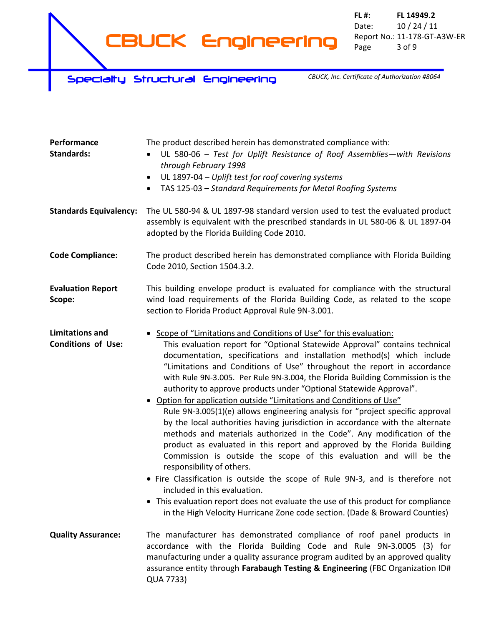**CBUCK Engineering** 

**FL #: FL 14949.2** Date: 10 / 24 / 11 Report No.: 11‐178‐GT‐A3W‐ER Page 3 of 9

 **Specialty Structural Engineering** 

*CBUCK, Inc. Certificate of Authorization #8064*

| Performance<br><b>Standards:</b>                    | The product described herein has demonstrated compliance with:<br>UL 580-06 - Test for Uplift Resistance of Roof Assemblies-with Revisions<br>through February 1998<br>UL 1897-04 - Uplift test for roof covering systems<br>$\bullet$<br>TAS 125-03 - Standard Requirements for Metal Roofing Systems<br>$\bullet$                                                                                                                                                                                                                                                                                                                                                                                                                                                                                                                                                                                                                                                                                                                                                                                                                                                                                                                                     |
|-----------------------------------------------------|---------------------------------------------------------------------------------------------------------------------------------------------------------------------------------------------------------------------------------------------------------------------------------------------------------------------------------------------------------------------------------------------------------------------------------------------------------------------------------------------------------------------------------------------------------------------------------------------------------------------------------------------------------------------------------------------------------------------------------------------------------------------------------------------------------------------------------------------------------------------------------------------------------------------------------------------------------------------------------------------------------------------------------------------------------------------------------------------------------------------------------------------------------------------------------------------------------------------------------------------------------|
| <b>Standards Equivalency:</b>                       | The UL 580-94 & UL 1897-98 standard version used to test the evaluated product<br>assembly is equivalent with the prescribed standards in UL 580-06 & UL 1897-04<br>adopted by the Florida Building Code 2010.                                                                                                                                                                                                                                                                                                                                                                                                                                                                                                                                                                                                                                                                                                                                                                                                                                                                                                                                                                                                                                          |
| <b>Code Compliance:</b>                             | The product described herein has demonstrated compliance with Florida Building<br>Code 2010, Section 1504.3.2.                                                                                                                                                                                                                                                                                                                                                                                                                                                                                                                                                                                                                                                                                                                                                                                                                                                                                                                                                                                                                                                                                                                                          |
| <b>Evaluation Report</b><br>Scope:                  | This building envelope product is evaluated for compliance with the structural<br>wind load requirements of the Florida Building Code, as related to the scope<br>section to Florida Product Approval Rule 9N-3.001.                                                                                                                                                                                                                                                                                                                                                                                                                                                                                                                                                                                                                                                                                                                                                                                                                                                                                                                                                                                                                                    |
| <b>Limitations and</b><br><b>Conditions of Use:</b> | • Scope of "Limitations and Conditions of Use" for this evaluation:<br>This evaluation report for "Optional Statewide Approval" contains technical<br>documentation, specifications and installation method(s) which include<br>"Limitations and Conditions of Use" throughout the report in accordance<br>with Rule 9N-3.005. Per Rule 9N-3.004, the Florida Building Commission is the<br>authority to approve products under "Optional Statewide Approval".<br>• Option for application outside "Limitations and Conditions of Use"<br>Rule 9N-3.005(1)(e) allows engineering analysis for "project specific approval<br>by the local authorities having jurisdiction in accordance with the alternate<br>methods and materials authorized in the Code". Any modification of the<br>product as evaluated in this report and approved by the Florida Building<br>Commission is outside the scope of this evaluation and will be the<br>responsibility of others.<br>• Fire Classification is outside the scope of Rule 9N-3, and is therefore not<br>included in this evaluation.<br>• This evaluation report does not evaluate the use of this product for compliance<br>in the High Velocity Hurricane Zone code section. (Dade & Broward Counties) |
| <b>Quality Assurance:</b>                           | The manufacturer has demonstrated compliance of roof panel products in<br>accordance with the Florida Building Code and Rule 9N-3.0005 (3) for<br>manufacturing under a quality assurance program audited by an approved quality<br>assurance entity through Farabaugh Testing & Engineering (FBC Organization ID#<br>QUA 7733)                                                                                                                                                                                                                                                                                                                                                                                                                                                                                                                                                                                                                                                                                                                                                                                                                                                                                                                         |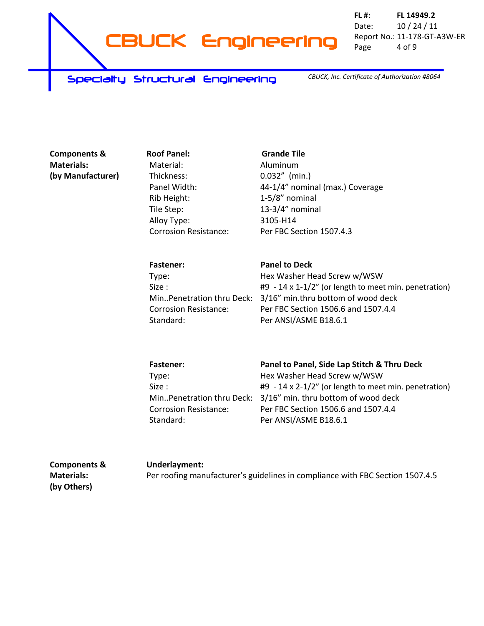

**FL #: FL 14949.2** Date: 10 / 24 / 11 Report No.: 11‐178‐GT‐A3W‐ER Page 4 of 9

 **Specialty Structural Engineering** 

*CBUCK, Inc. Certificate of Authorization #8064*

**Components & Materials: (by Manufacturer)** **Roof Panel: Grande Tile** Material: Thickness: Panel Width: Rib Height: Tile Step: Alloy Type: Corrosion Resistance:

Aluminum 0.032" (min.) 44‐1/4" nominal (max.) Coverage 1‐5/8" nominal 13‐3/4" nominal 3105‐H14 Per FBC Section 1507.4.3

| <b>Fastener:</b>             | <b>Panel to Deck</b>                                            |
|------------------------------|-----------------------------------------------------------------|
| Type:                        | Hex Washer Head Screw w/WSW                                     |
| Size:                        | $#9 - 14 \times 1 - 1/2$ " (or length to meet min. penetration) |
|                              | MinPenetration thru Deck: 3/16" min.thru bottom of wood deck    |
| <b>Corrosion Resistance:</b> | Per FBC Section 1506.6 and 1507.4.4                             |
| Standard:                    | Per ANSI/ASME B18.6.1                                           |

| <b>Fastener:</b>             | Panel to Panel, Side Lap Stitch & Thru Deck                    |
|------------------------------|----------------------------------------------------------------|
| Type:                        | Hex Washer Head Screw w/WSW                                    |
| Size:                        | $#9 - 14 \times 2 - 1/2"$ (or length to meet min. penetration) |
|                              | MinPenetration thru Deck: 3/16" min. thru bottom of wood deck  |
| <b>Corrosion Resistance:</b> | Per FBC Section 1506.6 and 1507.4.4                            |
| Standard:                    | Per ANSI/ASME B18.6.1                                          |

| <b>Components &amp;</b> | Underlayment:                                                                 |
|-------------------------|-------------------------------------------------------------------------------|
| <b>Materials:</b>       | Per roofing manufacturer's guidelines in compliance with FBC Section 1507.4.5 |
| (by Others)             |                                                                               |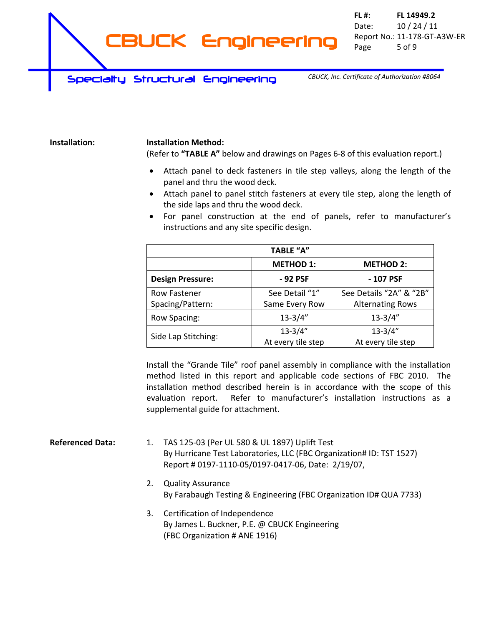*CBUCK, Inc. Certificate of Authorization #8064*

#### **Installation: Installation Method:**

(Refer to **"TABLE A"** below and drawings on Pages 6‐8 of this evaluation report.)

- Attach panel to deck fasteners in tile step valleys, along the length of the panel and thru the wood deck.
- Attach panel to panel stitch fasteners at every tile step, along the length of the side laps and thru the wood deck.
- For panel construction at the end of panels, refer to manufacturer's instructions and any site specific design.

| <b>TABLE "A"</b>        |                    |                         |  |  |
|-------------------------|--------------------|-------------------------|--|--|
|                         | <b>METHOD 1:</b>   | <b>METHOD 2:</b>        |  |  |
| <b>Design Pressure:</b> | -92 PSF            | - 107 PSF               |  |  |
| <b>Row Fastener</b>     | See Detail "1"     | See Details "2A" & "2B" |  |  |
| Spacing/Pattern:        | Same Every Row     | <b>Alternating Rows</b> |  |  |
| Row Spacing:            | $13 - 3/4"$        | $13 - 3/4"$             |  |  |
|                         | $13 - 3/4"$        | $13 - 3/4"$             |  |  |
| Side Lap Stitching:     | At every tile step | At every tile step      |  |  |

Install the "Grande Tile" roof panel assembly in compliance with the installation method listed in this report and applicable code sections of FBC 2010. The installation method described herein is in accordance with the scope of this evaluation report. Refer to manufacturer's installation instructions as a supplemental guide for attachment.

**Referenced Data:** 1. TAS 125‐03 (Per UL 580 & UL 1897) Uplift Test By Hurricane Test Laboratories, LLC (FBC Organization# ID: TST 1527) Report # 0197‐1110‐05/0197‐0417‐06, Date: 2/19/07,

- 2. Quality Assurance By Farabaugh Testing & Engineering (FBC Organization ID# QUA 7733)
- 3. Certification of Independence By James L. Buckner, P.E. @ CBUCK Engineering (FBC Organization # ANE 1916)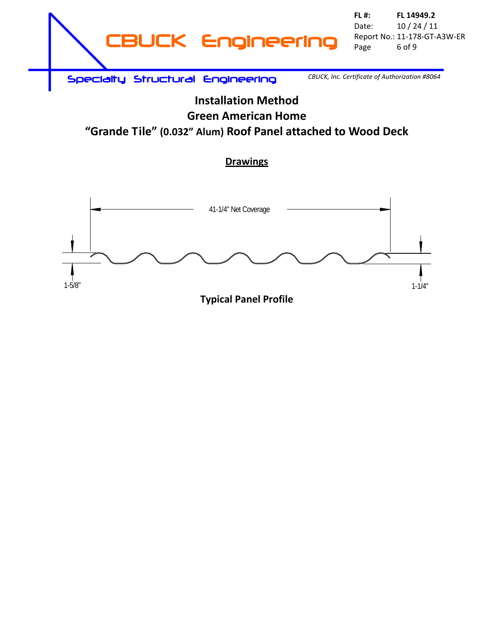

# **Installation Method Green American Home "Grande Tile" (0.032" Alum) Roof Panel attached to Wood Deck**

#### **Drawings**

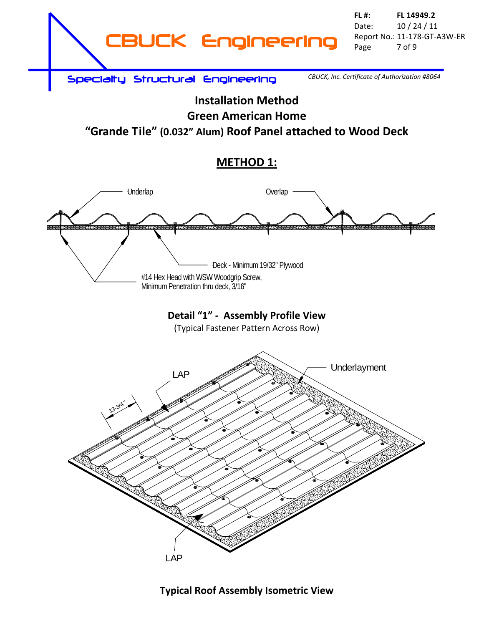

*CBUCK, Inc. Certificate of Authorization #8064*

# **Installation Method Green American Home "Grande Tile" (0.032" Alum) Roof Panel attached to Wood Deck**

# **METHOD 1:**



## **Typical Roof Assembly Isometric View**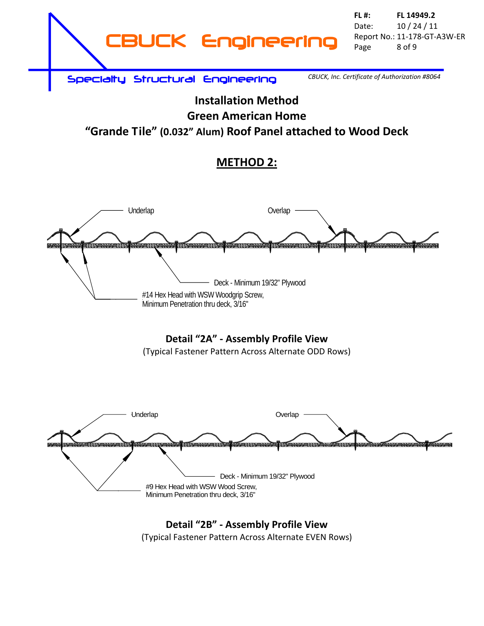

*CBUCK, Inc. Certificate of Authorization #8064*

# **Installation Method Green American Home "Grande Tile" (0.032" Alum) Roof Panel attached to Wood Deck**

# **METHOD 2:**



## **Detail "2A" ‐ Assembly Profile View**

(Typical Fastener Pattern Across Alternate ODD Rows)



## **Detail "2B" ‐ Assembly Profile View** (Typical Fastener Pattern Across Alternate EVEN Rows)